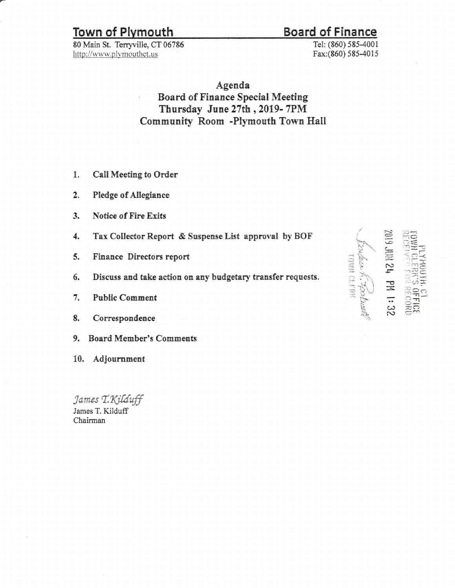## **Town of Plymouth**

80 Main St. Terryville, CT 06786 http://www.plymouthct.us

## **Board of Finance**

Tel: (860) 585-4001 Fax:(860) 585-4015

Agenda **Board of Finance Special Meeting** Thursday June 27th, 2019-7PM Community Room -Plymouth Town Hall

- Call Meeting to Order 1.
- $\mathbf{2}$ . Pledge of Allegiance
- $3.$ **Notice of Fire Exits**
- Tax Collector Report & Suspense List approval by BOF 4.
- 5. Finance Directors report
- Discuss and take action on any budgetary transfer requests. 6.
- 7. **Public Comment**
- 8. Correspondence
- **Board Member's Comments** 9.

10. Adjournment

James T. Kilduff James T. Kilduff Chairman

|               | $\overline{c}$ |                |
|---------------|----------------|----------------|
|               |                |                |
|               | $\frac{1}{2}$  |                |
|               |                |                |
|               |                |                |
|               |                |                |
|               |                |                |
| $\frac{1}{2}$ | ίh,            | $\mathbf{v}$   |
|               |                |                |
|               |                |                |
|               |                | $\overline{1}$ |
|               | $\Xi$          |                |
|               |                |                |
|               |                | $\Xi$          |
|               |                |                |
|               |                |                |
|               |                | ᆖ              |
|               | $\frac{3}{2}$  |                |
|               |                |                |
|               |                |                |
|               |                |                |

 $E = E$ 

€